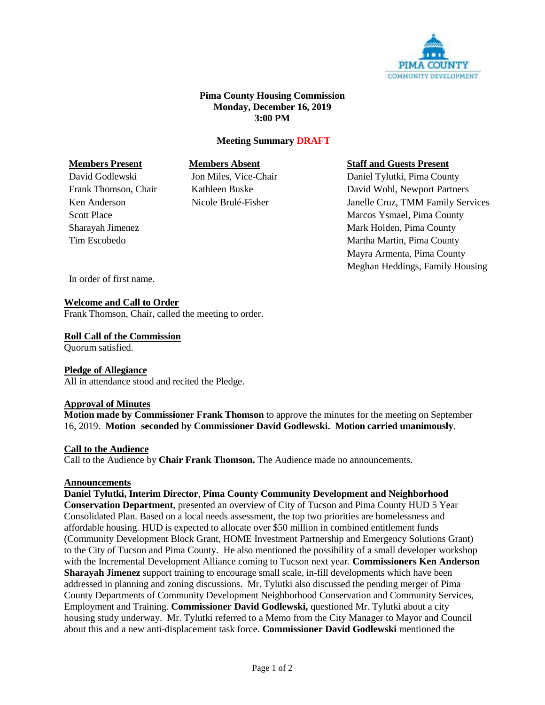

# **Pima County Housing Commission Monday, December 16, 2019 3:00 PM**

# **Meeting Summary DRAFT**

## **Members Present Members Absent Staff and Guests Present**

David Godlewski Jon Miles, Vice-Chair Daniel Tylutki, Pima County Frank Thomson, Chair Kathleen Buske David Wohl, Newport Partners Ken Anderson Nicole Brulé-Fisher Janelle Cruz, TMM Family Services Scott Place Marcos Ysmael, Pima County Sharayah Jimenez **Mark Holden, Pima County** Tim Escobedo **Martha Martin, Pima County** Mayra Armenta, Pima County Meghan Heddings, Family Housing

In order of first name.

# **Welcome and Call to Order**

Frank Thomson, Chair, called the meeting to order.

### **Roll Call of the Commission**

Quorum satisfied.

# **Pledge of Allegiance**

All in attendance stood and recited the Pledge.

#### **Approval of Minutes**

**Motion made by Commissioner Frank Thomson** to approve the minutes for the meeting on September 16, 2019. **Motion seconded by Commissioner David Godlewski. Motion carried unanimously**.

#### **Call to the Audience**

Call to the Audience by **Chair Frank Thomson.** The Audience made no announcements.

#### **Announcements**

**Daniel Tylutki, Interim Director**, **Pima County Community Development and Neighborhood Conservation Department**, presented an overview of City of Tucson and Pima County HUD 5 Year Consolidated Plan. Based on a local needs assessment, the top two priorities are homelessness and affordable housing. HUD is expected to allocate over \$50 million in combined entitlement funds (Community Development Block Grant, HOME Investment Partnership and Emergency Solutions Grant) to the City of Tucson and Pima County. He also mentioned the possibility of a small developer workshop with the Incremental Development Alliance coming to Tucson next year. **Commissioners Ken Anderson Sharayah Jimenez** support training to encourage small scale, in-fill developments which have been addressed in planning and zoning discussions. Mr. Tylutki also discussed the pending merger of Pima County Departments of Community Development Neighborhood Conservation and Community Services, Employment and Training. **Commissioner David Godlewski,** questioned Mr. Tylutki about a city housing study underway. Mr. Tylutki referred to a Memo from the City Manager to Mayor and Council about this and a new anti-displacement task force. **Commissioner David Godlewski** mentioned the